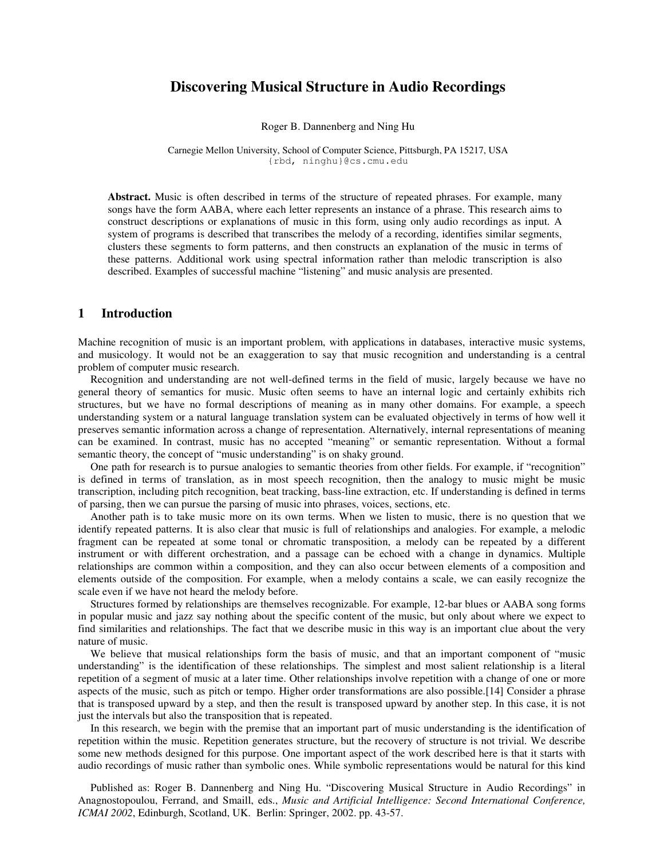# **Discovering Musical Structure in Audio Recordings**

Roger B. Dannenberg and Ning Hu

Carnegie Mellon University, School of Computer Science, Pittsburgh, PA 15217, USA {rbd, ninghu}@cs.cmu.edu

**Abstract.** Music is often described in terms of the structure of repeated phrases. For example, many songs have the form AABA, where each letter represents an instance of a phrase. This research aims to construct descriptions or explanations of music in this form, using only audio recordings as input. A system of programs is described that transcribes the melody of a recording, identifies similar segments, clusters these segments to form patterns, and then constructs an explanation of the music in terms of these patterns. Additional work using spectral information rather than melodic transcription is also described. Examples of successful machine "listening" and music analysis are presented.

### **1 Introduction**

Machine recognition of music is an important problem, with applications in databases, interactive music systems, and musicology. It would not be an exaggeration to say that music recognition and understanding is a central problem of computer music research.

Recognition and understanding are not well-defined terms in the field of music, largely because we have no general theory of semantics for music. Music often seems to have an internal logic and certainly exhibits rich structures, but we have no formal descriptions of meaning as in many other domains. For example, a speech understanding system or a natural language translation system can be evaluated objectively in terms of how well it preserves semantic information across a change of representation. Alternatively, internal representations of meaning can be examined. In contrast, music has no accepted "meaning" or semantic representation. Without a formal semantic theory, the concept of "music understanding" is on shaky ground.

One path for research is to pursue analogies to semantic theories from other fields. For example, if "recognition" is defined in terms of translation, as in most speech recognition, then the analogy to music might be music transcription, including pitch recognition, beat tracking, bass-line extraction, etc. If understanding is defined in terms of parsing, then we can pursue the parsing of music into phrases, voices, sections, etc.

Another path is to take music more on its own terms. When we listen to music, there is no question that we identify repeated patterns. It is also clear that music is full of relationships and analogies. For example, a melodic fragment can be repeated at some tonal or chromatic transposition, a melody can be repeated by a different instrument or with different orchestration, and a passage can be echoed with a change in dynamics. Multiple relationships are common within a composition, and they can also occur between elements of a composition and elements outside of the composition. For example, when a melody contains a scale, we can easily recognize the scale even if we have not heard the melody before.

Structures formed by relationships are themselves recognizable. For example, 12-bar blues or AABA song forms in popular music and jazz say nothing about the specific content of the music, but only about where we expect to find similarities and relationships. The fact that we describe music in this way is an important clue about the very nature of music.

We believe that musical relationships form the basis of music, and that an important component of "music understanding" is the identification of these relationships. The simplest and most salient relationship is a literal repetition of a segment of music at a later time. Other relationships involve repetition with a change of one or more aspects of the music, such as pitch or tempo. Higher order transformations are also possible.[14] Consider a phrase that is transposed upward by a step, and then the result is transposed upward by another step. In this case, it is not just the intervals but also the transposition that is repeated.

In this research, we begin with the premise that an important part of music understanding is the identification of repetition within the music. Repetition generates structure, but the recovery of structure is not trivial. We describe some new methods designed for this purpose. One important aspect of the work described here is that it starts with audio recordings of music rather than symbolic ones. While symbolic representations would be natural for this kind

Published as: Roger B. Dannenberg and Ning Hu. "Discovering Musical Structure in Audio Recordings" in Anagnostopoulou, Ferrand, and Smaill, eds., *Music and Artificial Intelligence: Second International Conference, ICMAI 2002*, Edinburgh, Scotland, UK. Berlin: Springer, 2002. pp. 43-57.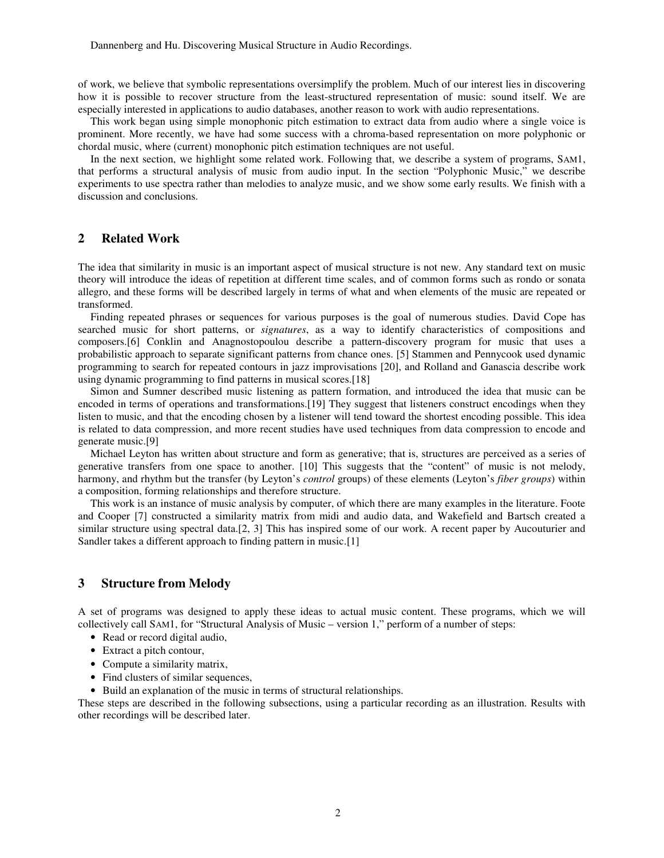of work, we believe that symbolic representations oversimplify the problem. Much of our interest lies in discovering how it is possible to recover structure from the least-structured representation of music: sound itself. We are especially interested in applications to audio databases, another reason to work with audio representations.

This work began using simple monophonic pitch estimation to extract data from audio where a single voice is prominent. More recently, we have had some success with a chroma-based representation on more polyphonic or chordal music, where (current) monophonic pitch estimation techniques are not useful.

In the next section, we highlight some related work. Following that, we describe a system of programs, SAM1, that performs a structural analysis of music from audio input. In the section "Polyphonic Music," we describe experiments to use spectra rather than melodies to analyze music, and we show some early results. We finish with a discussion and conclusions.

# **2 Related Work**

The idea that similarity in music is an important aspect of musical structure is not new. Any standard text on music theory will introduce the ideas of repetition at different time scales, and of common forms such as rondo or sonata allegro, and these forms will be described largely in terms of what and when elements of the music are repeated or transformed.

Finding repeated phrases or sequences for various purposes is the goal of numerous studies. David Cope has searched music for short patterns, or *signatures*, as a way to identify characteristics of compositions and composers.[6] Conklin and Anagnostopoulou describe a pattern-discovery program for music that uses a probabilistic approach to separate significant patterns from chance ones. [5] Stammen and Pennycook used dynamic programming to search for repeated contours in jazz improvisations [20], and Rolland and Ganascia describe work using dynamic programming to find patterns in musical scores.[18]

Simon and Sumner described music listening as pattern formation, and introduced the idea that music can be encoded in terms of operations and transformations.[19] They suggest that listeners construct encodings when they listen to music, and that the encoding chosen by a listener will tend toward the shortest encoding possible. This idea is related to data compression, and more recent studies have used techniques from data compression to encode and generate music.[9]

Michael Leyton has written about structure and form as generative; that is, structures are perceived as a series of generative transfers from one space to another. [10] This suggests that the "content" of music is not melody, harmony, and rhythm but the transfer (by Leyton's *control* groups) of these elements (Leyton's *fiber groups*) within a composition, forming relationships and therefore structure.

This work is an instance of music analysis by computer, of which there are many examples in the literature. Foote and Cooper [7] constructed a similarity matrix from midi and audio data, and Wakefield and Bartsch created a similar structure using spectral data.[2, 3] This has inspired some of our work. A recent paper by Aucouturier and Sandler takes a different approach to finding pattern in music.<sup>[1]</sup>

## **3 Structure from Melody**

A set of programs was designed to apply these ideas to actual music content. These programs, which we will collectively call SAM1, for "Structural Analysis of Music – version 1," perform of a number of steps:

- Read or record digital audio,
- Extract a pitch contour,
- Compute a similarity matrix,
- Find clusters of similar sequences,
- Build an explanation of the music in terms of structural relationships.

These steps are described in the following subsections, using a particular recording as an illustration. Results with other recordings will be described later.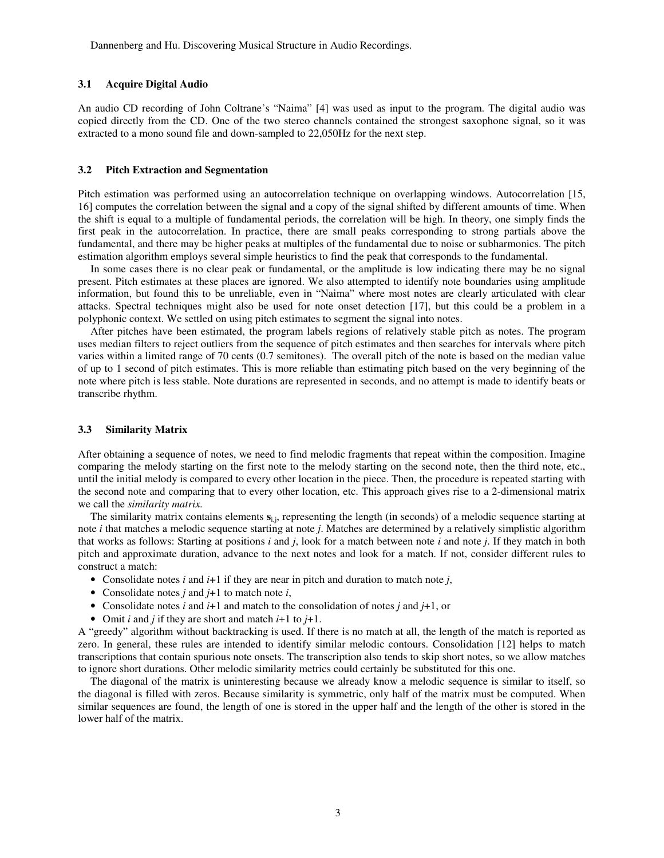### **3.1 Acquire Digital Audio**

An audio CD recording of John Coltrane's "Naima" [4] was used as input to the program. The digital audio was copied directly from the CD. One of the two stereo channels contained the strongest saxophone signal, so it was extracted to a mono sound file and down-sampled to 22,050Hz for the next step.

#### **3.2 Pitch Extraction and Segmentation**

Pitch estimation was performed using an autocorrelation technique on overlapping windows. Autocorrelation [15, 16] computes the correlation between the signal and a copy of the signal shifted by different amounts of time. When the shift is equal to a multiple of fundamental periods, the correlation will be high. In theory, one simply finds the first peak in the autocorrelation. In practice, there are small peaks corresponding to strong partials above the fundamental, and there may be higher peaks at multiples of the fundamental due to noise or subharmonics. The pitch estimation algorithm employs several simple heuristics to find the peak that corresponds to the fundamental.

In some cases there is no clear peak or fundamental, or the amplitude is low indicating there may be no signal present. Pitch estimates at these places are ignored. We also attempted to identify note boundaries using amplitude information, but found this to be unreliable, even in "Naima" where most notes are clearly articulated with clear attacks. Spectral techniques might also be used for note onset detection [17], but this could be a problem in a polyphonic context. We settled on using pitch estimates to segment the signal into notes.

After pitches have been estimated, the program labels regions of relatively stable pitch as notes. The program uses median filters to reject outliers from the sequence of pitch estimates and then searches for intervals where pitch varies within a limited range of 70 cents (0.7 semitones). The overall pitch of the note is based on the median value of up to 1 second of pitch estimates. This is more reliable than estimating pitch based on the very beginning of the note where pitch is less stable. Note durations are represented in seconds, and no attempt is made to identify beats or transcribe rhythm.

#### **3.3 Similarity Matrix**

After obtaining a sequence of notes, we need to find melodic fragments that repeat within the composition. Imagine comparing the melody starting on the first note to the melody starting on the second note, then the third note, etc., until the initial melody is compared to every other location in the piece. Then, the procedure is repeated starting with the second note and comparing that to every other location, etc. This approach gives rise to a 2-dimensional matrix we call the *similarity matrix.*

The similarity matrix contains elements  $s_{i,j}$ , representing the length (in seconds) of a melodic sequence starting at note *i* that matches a melodic sequence starting at note *j*. Matches are determined by a relatively simplistic algorithm that works as follows: Starting at positions *i* and *j*, look for a match between note *i* and note *j*. If they match in both pitch and approximate duration, advance to the next notes and look for a match. If not, consider different rules to construct a match:

- Consolidate notes *i* and *i*+1 if they are near in pitch and duration to match note *j*,
- Consolidate notes *j* and *j*+1 to match note *i*,
- Consolidate notes *i* and *i*+1 and match to the consolidation of notes *j* and *j*+1, or
- Omit *i* and *j* if they are short and match  $i+1$  to  $j+1$ .

A "greedy" algorithm without backtracking is used. If there is no match at all, the length of the match is reported as zero. In general, these rules are intended to identify similar melodic contours. Consolidation [12] helps to match transcriptions that contain spurious note onsets. The transcription also tends to skip short notes, so we allow matches to ignore short durations. Other melodic similarity metrics could certainly be substituted for this one.

The diagonal of the matrix is uninteresting because we already know a melodic sequence is similar to itself, so the diagonal is filled with zeros. Because similarity is symmetric, only half of the matrix must be computed. When similar sequences are found, the length of one is stored in the upper half and the length of the other is stored in the lower half of the matrix.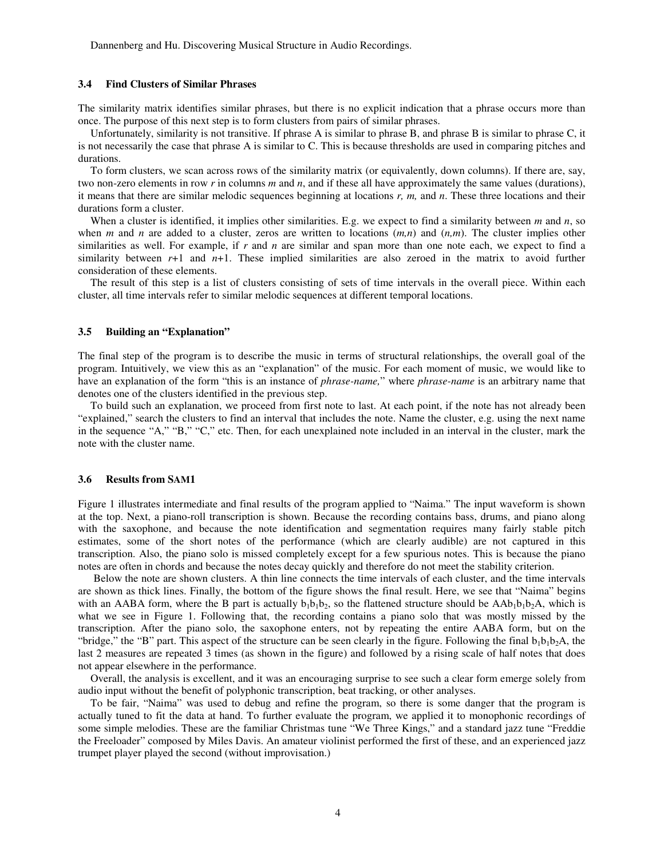### **3.4 Find Clusters of Similar Phrases**

The similarity matrix identifies similar phrases, but there is no explicit indication that a phrase occurs more than once. The purpose of this next step is to form clusters from pairs of similar phrases.

Unfortunately, similarity is not transitive. If phrase A is similar to phrase B, and phrase B is similar to phrase C, it is not necessarily the case that phrase A is similar to C. This is because thresholds are used in comparing pitches and durations.

To form clusters, we scan across rows of the similarity matrix (or equivalently, down columns). If there are, say, two non-zero elements in row *r* in columns *m* and *n*, and if these all have approximately the same values (durations), it means that there are similar melodic sequences beginning at locations *r, m,* and *n*. These three locations and their durations form a cluster.

When a cluster is identified, it implies other similarities. E.g. we expect to find a similarity between *m* and *n*, so when *m* and *n* are added to a cluster, zeros are written to locations  $(m,n)$  and  $(n,m)$ . The cluster implies other similarities as well. For example, if *r* and *n* are similar and span more than one note each, we expect to find a similarity between  $r+1$  and  $n+1$ . These implied similarities are also zeroed in the matrix to avoid further consideration of these elements.

The result of this step is a list of clusters consisting of sets of time intervals in the overall piece. Within each cluster, all time intervals refer to similar melodic sequences at different temporal locations.

#### **3.5 Building an "Explanation"**

The final step of the program is to describe the music in terms of structural relationships, the overall goal of the program. Intuitively, we view this as an "explanation" of the music. For each moment of music, we would like to have an explanation of the form "this is an instance of *phrase-name,*" where *phrase-name* is an arbitrary name that denotes one of the clusters identified in the previous step.

To build such an explanation, we proceed from first note to last. At each point, if the note has not already been "explained," search the clusters to find an interval that includes the note. Name the cluster, e.g. using the next name in the sequence "A," "B," "C," etc. Then, for each unexplained note included in an interval in the cluster, mark the note with the cluster name.

#### **3.6 Results from SAM1**

Figure 1 illustrates intermediate and final results of the program applied to "Naima." The input waveform is shown at the top. Next, a piano-roll transcription is shown. Because the recording contains bass, drums, and piano along with the saxophone, and because the note identification and segmentation requires many fairly stable pitch estimates, some of the short notes of the performance (which are clearly audible) are not captured in this transcription. Also, the piano solo is missed completely except for a few spurious notes. This is because the piano notes are often in chords and because the notes decay quickly and therefore do not meet the stability criterion.

Below the note are shown clusters. A thin line connects the time intervals of each cluster, and the time intervals are shown as thick lines. Finally, the bottom of the figure shows the final result. Here, we see that "Naima" begins with an AABA form, where the B part is actually  $b_1b_1b_2$ , so the flattened structure should be AA $b_1b_2b_3A$ , which is what we see in Figure 1. Following that, the recording contains a piano solo that was mostly missed by the transcription. After the piano solo, the saxophone enters, not by repeating the entire AABA form, but on the "bridge," the "B" part. This aspect of the structure can be seen clearly in the figure. Following the final  $b_1b_1b_2A$ , the last 2 measures are repeated 3 times (as shown in the figure) and followed by a rising scale of half notes that does not appear elsewhere in the performance.

Overall, the analysis is excellent, and it was an encouraging surprise to see such a clear form emerge solely from audio input without the benefit of polyphonic transcription, beat tracking, or other analyses.

To be fair, "Naima" was used to debug and refine the program, so there is some danger that the program is actually tuned to fit the data at hand. To further evaluate the program, we applied it to monophonic recordings of some simple melodies. These are the familiar Christmas tune "We Three Kings," and a standard jazz tune "Freddie the Freeloader" composed by Miles Davis. An amateur violinist performed the first of these, and an experienced jazz trumpet player played the second (without improvisation.)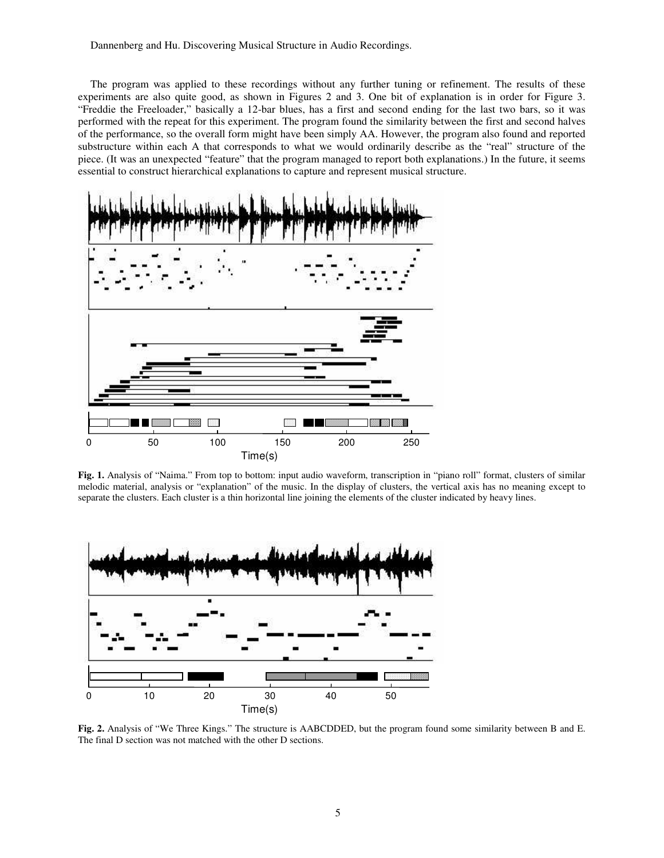The program was applied to these recordings without any further tuning or refinement. The results of these experiments are also quite good, as shown in Figures 2 and 3. One bit of explanation is in order for Figure 3. "Freddie the Freeloader," basically a 12-bar blues, has a first and second ending for the last two bars, so it was performed with the repeat for this experiment. The program found the similarity between the first and second halves of the performance, so the overall form might have been simply AA. However, the program also found and reported substructure within each A that corresponds to what we would ordinarily describe as the "real" structure of the piece. (It was an unexpected "feature" that the program managed to report both explanations.) In the future, it seems essential to construct hierarchical explanations to capture and represent musical structure.



**Fig. 1.** Analysis of "Naima." From top to bottom: input audio waveform, transcription in "piano roll" format, clusters of similar melodic material, analysis or "explanation" of the music. In the display of clusters, the vertical axis has no meaning except to separate the clusters. Each cluster is a thin horizontal line joining the elements of the cluster indicated by heavy lines.



**Fig. 2.** Analysis of "We Three Kings." The structure is AABCDDED, but the program found some similarity between B and E. The final D section was not matched with the other D sections.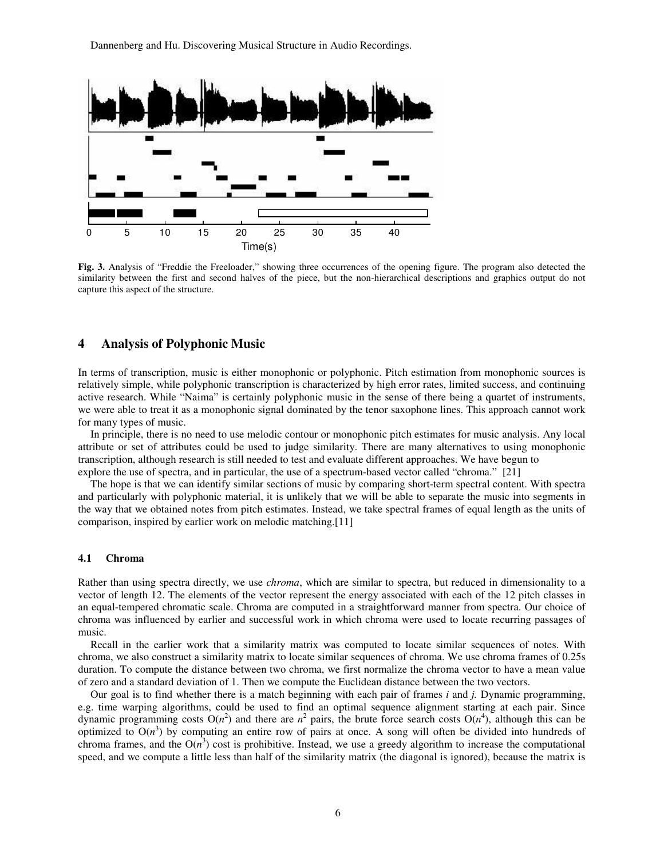

**Fig. 3.** Analysis of "Freddie the Freeloader," showing three occurrences of the opening figure. The program also detected the similarity between the first and second halves of the piece, but the non-hierarchical descriptions and graphics output do not capture this aspect of the structure.

### **4 Analysis of Polyphonic Music**

In terms of transcription, music is either monophonic or polyphonic. Pitch estimation from monophonic sources is relatively simple, while polyphonic transcription is characterized by high error rates, limited success, and continuing active research. While "Naima" is certainly polyphonic music in the sense of there being a quartet of instruments, we were able to treat it as a monophonic signal dominated by the tenor saxophone lines. This approach cannot work for many types of music.

In principle, there is no need to use melodic contour or monophonic pitch estimates for music analysis. Any local attribute or set of attributes could be used to judge similarity. There are many alternatives to using monophonic transcription, although research is still needed to test and evaluate different approaches. We have begun to explore the use of spectra, and in particular, the use of a spectrum-based vector called "chroma." [21]

The hope is that we can identify similar sections of music by comparing short-term spectral content. With spectra and particularly with polyphonic material, it is unlikely that we will be able to separate the music into segments in the way that we obtained notes from pitch estimates. Instead, we take spectral frames of equal length as the units of comparison, inspired by earlier work on melodic matching.[11]

#### **4.1 Chroma**

Rather than using spectra directly, we use *chroma*, which are similar to spectra, but reduced in dimensionality to a vector of length 12. The elements of the vector represent the energy associated with each of the 12 pitch classes in an equal-tempered chromatic scale. Chroma are computed in a straightforward manner from spectra. Our choice of chroma was influenced by earlier and successful work in which chroma were used to locate recurring passages of music.

Recall in the earlier work that a similarity matrix was computed to locate similar sequences of notes. With chroma, we also construct a similarity matrix to locate similar sequences of chroma. We use chroma frames of 0.25s duration. To compute the distance between two chroma, we first normalize the chroma vector to have a mean value of zero and a standard deviation of 1. Then we compute the Euclidean distance between the two vectors.

Our goal is to find whether there is a match beginning with each pair of frames *i* and *j.* Dynamic programming, e.g. time warping algorithms, could be used to find an optimal sequence alignment starting at each pair. Since dynamic programming costs  $O(n^2)$  and there are  $n^2$  pairs, the brute force search costs  $O(n^4)$ , although this can be optimized to  $O(n^3)$  by computing an entire row of pairs at once. A song will often be divided into hundreds of chroma frames, and the  $O(n^3)$  cost is prohibitive. Instead, we use a greedy algorithm to increase the computational speed, and we compute a little less than half of the similarity matrix (the diagonal is ignored), because the matrix is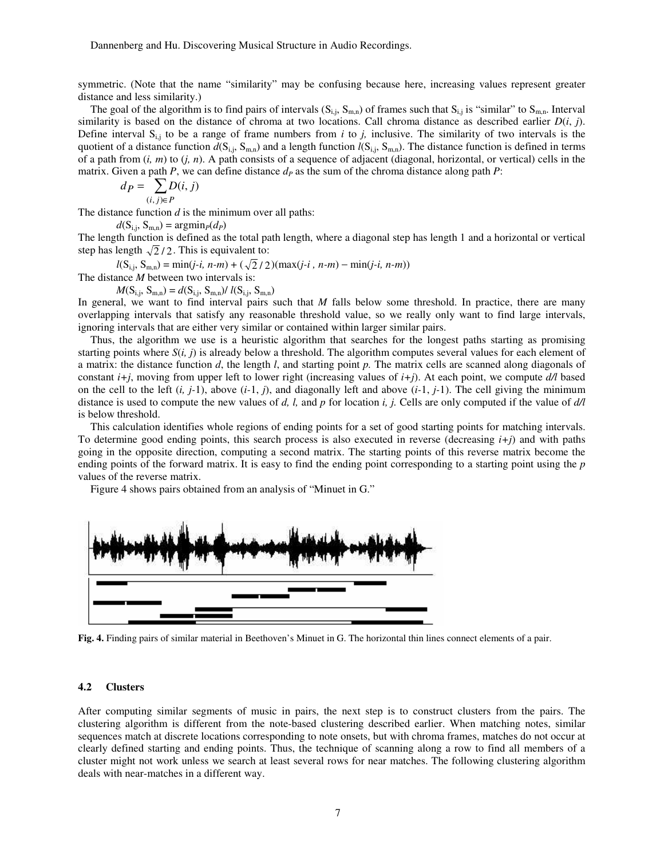symmetric. (Note that the name "similarity" may be confusing because here, increasing values represent greater distance and less similarity.)

The goal of the algorithm is to find pairs of intervals  $(S_{i,j}, S_{m,n})$  of frames such that  $S_{i,j}$  is "similar" to  $S_{m,n}$ . Interval similarity is based on the distance of chroma at two locations. Call chroma distance as described earlier  $D(i, j)$ . Define interval  $S_{i,j}$  to be a range of frame numbers from *i* to *j*, inclusive. The similarity of two intervals is the quotient of a distance function  $d(S_{i,j}, S_{m,n})$  and a length function  $l(S_{i,j}, S_{m,n})$ . The distance function is defined in terms of a path from (*i, m*) to (*j, n*). A path consists of a sequence of adjacent (diagonal, horizontal, or vertical) cells in the matrix. Given a path *P*, we can define distance  $d<sub>P</sub>$  as the sum of the chroma distance along path *P*:

$$
d_P = \sum_{(i,j)\in P} D(i,j)
$$

The distance function *d* is the minimum over all paths:

 $d(S_{i,j}, S_{m,n}) = \text{argmin}_P(d_P)$ 

The length function is defined as the total path length, where a diagonal step has length 1 and a horizontal or vertical step has length  $\sqrt{2}/2$ . This is equivalent to:

 $l(S_{i,j}, S_{m,n}) = min(j-i, n-m) + (\sqrt{2}/2)(max(j-i, n-m) - min(j-i, n-m))$ 

The distance *M* between two intervals is:

 $M(S_{i,j}, S_{m,n}) = d(S_{i,j}, S_{m,n})/ l(S_{i,j}, S_{m,n})$ 

In general, we want to find interval pairs such that *M* falls below some threshold. In practice, there are many overlapping intervals that satisfy any reasonable threshold value, so we really only want to find large intervals, ignoring intervals that are either very similar or contained within larger similar pairs.

Thus, the algorithm we use is a heuristic algorithm that searches for the longest paths starting as promising starting points where  $S(i, j)$  is already below a threshold. The algorithm computes several values for each element of a matrix: the distance function *d*, the length *l*, and starting point *p.* The matrix cells are scanned along diagonals of constant *i+j*, moving from upper left to lower right (increasing values of *i+j*). At each point, we compute *d/l* based on the cell to the left  $(i, j-1)$ , above  $(i-1, j)$ , and diagonally left and above  $(i-1, j-1)$ . The cell giving the minimum distance is used to compute the new values of *d, l,* and *p* for location *i, j.* Cells are only computed if the value of *d/l* is below threshold.

This calculation identifies whole regions of ending points for a set of good starting points for matching intervals. To determine good ending points, this search process is also executed in reverse (decreasing  $i+j$ ) and with paths going in the opposite direction, computing a second matrix. The starting points of this reverse matrix become the ending points of the forward matrix. It is easy to find the ending point corresponding to a starting point using the *p* values of the reverse matrix.

Figure 4 shows pairs obtained from an analysis of "Minuet in G."



**Fig. 4.** Finding pairs of similar material in Beethoven's Minuet in G. The horizontal thin lines connect elements of a pair.

#### **4.2 Clusters**

After computing similar segments of music in pairs, the next step is to construct clusters from the pairs. The clustering algorithm is different from the note-based clustering described earlier. When matching notes, similar sequences match at discrete locations corresponding to note onsets, but with chroma frames, matches do not occur at clearly defined starting and ending points. Thus, the technique of scanning along a row to find all members of a cluster might not work unless we search at least several rows for near matches. The following clustering algorithm deals with near-matches in a different way.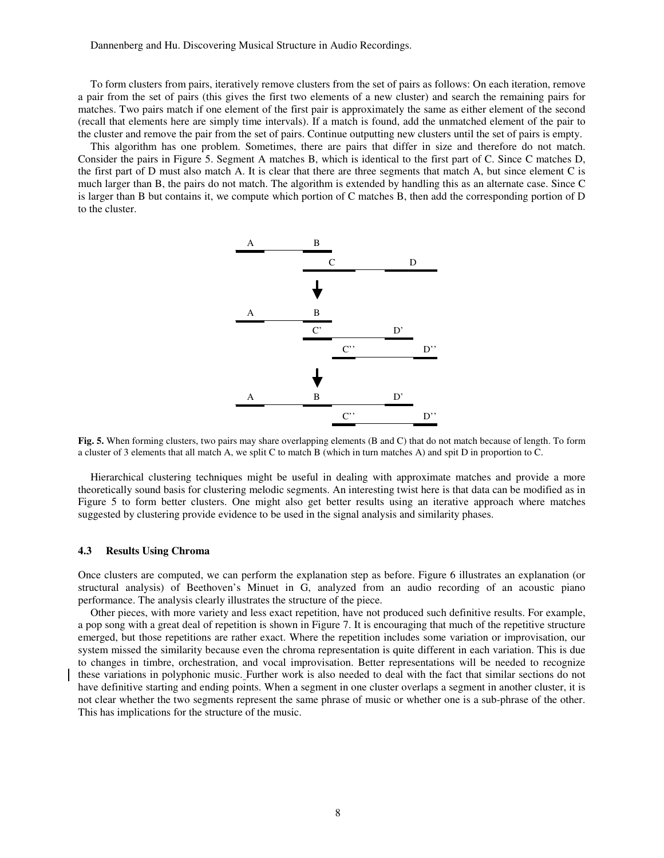To form clusters from pairs, iteratively remove clusters from the set of pairs as follows: On each iteration, remove a pair from the set of pairs (this gives the first two elements of a new cluster) and search the remaining pairs for matches. Two pairs match if one element of the first pair is approximately the same as either element of the second (recall that elements here are simply time intervals). If a match is found, add the unmatched element of the pair to the cluster and remove the pair from the set of pairs. Continue outputting new clusters until the set of pairs is empty.

This algorithm has one problem. Sometimes, there are pairs that differ in size and therefore do not match. Consider the pairs in Figure 5. Segment A matches B, which is identical to the first part of C. Since C matches D, the first part of D must also match A. It is clear that there are three segments that match A, but since element C is much larger than B, the pairs do not match. The algorithm is extended by handling this as an alternate case. Since C is larger than B but contains it, we compute which portion of C matches B, then add the corresponding portion of D to the cluster.



**Fig. 5.** When forming clusters, two pairs may share overlapping elements (B and C) that do not match because of length. To form a cluster of 3 elements that all match A, we split C to match B (which in turn matches A) and spit D in proportion to C.

Hierarchical clustering techniques might be useful in dealing with approximate matches and provide a more theoretically sound basis for clustering melodic segments. An interesting twist here is that data can be modified as in Figure 5 to form better clusters. One might also get better results using an iterative approach where matches suggested by clustering provide evidence to be used in the signal analysis and similarity phases.

#### **4.3 Results Using Chroma**

Once clusters are computed, we can perform the explanation step as before. Figure 6 illustrates an explanation (or structural analysis) of Beethoven's Minuet in G, analyzed from an audio recording of an acoustic piano performance. The analysis clearly illustrates the structure of the piece.

Other pieces, with more variety and less exact repetition, have not produced such definitive results. For example, a pop song with a great deal of repetition is shown in Figure 7. It is encouraging that much of the repetitive structure emerged, but those repetitions are rather exact. Where the repetition includes some variation or improvisation, our system missed the similarity because even the chroma representation is quite different in each variation. This is due to changes in timbre, orchestration, and vocal improvisation. Better representations will be needed to recognize these variations in polyphonic music. Further work is also needed to deal with the fact that similar sections do not have definitive starting and ending points. When a segment in one cluster overlaps a segment in another cluster, it is not clear whether the two segments represent the same phrase of music or whether one is a sub-phrase of the other. This has implications for the structure of the music.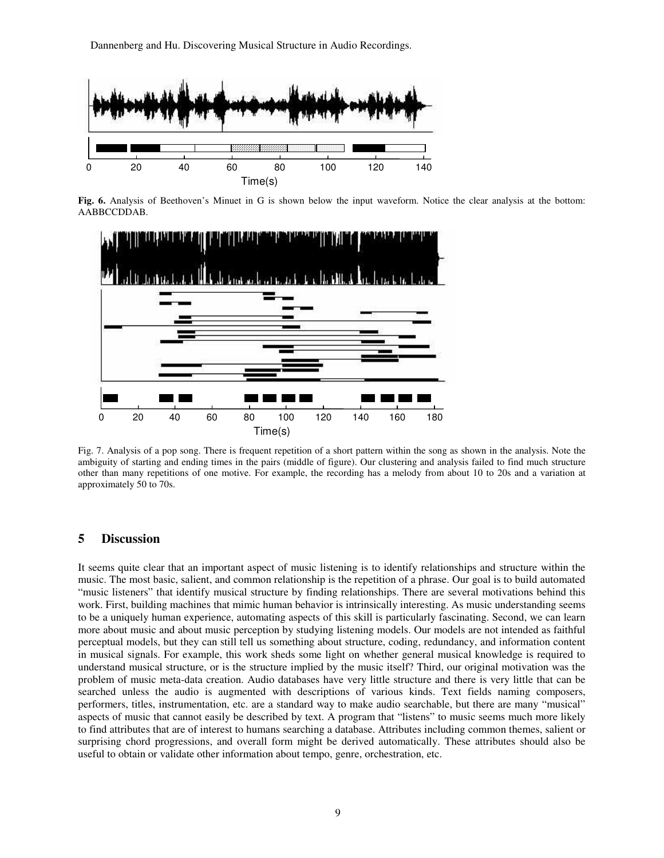

**Fig. 6.** Analysis of Beethoven's Minuet in G is shown below the input waveform. Notice the clear analysis at the bottom: AABBCCDDAB.



Fig. 7. Analysis of a pop song. There is frequent repetition of a short pattern within the song as shown in the analysis. Note the ambiguity of starting and ending times in the pairs (middle of figure). Our clustering and analysis failed to find much structure other than many repetitions of one motive. For example, the recording has a melody from about 10 to 20s and a variation at approximately 50 to 70s.

## **5 Discussion**

It seems quite clear that an important aspect of music listening is to identify relationships and structure within the music. The most basic, salient, and common relationship is the repetition of a phrase. Our goal is to build automated "music listeners" that identify musical structure by finding relationships. There are several motivations behind this work. First, building machines that mimic human behavior is intrinsically interesting. As music understanding seems to be a uniquely human experience, automating aspects of this skill is particularly fascinating. Second, we can learn more about music and about music perception by studying listening models. Our models are not intended as faithful perceptual models, but they can still tell us something about structure, coding, redundancy, and information content in musical signals. For example, this work sheds some light on whether general musical knowledge is required to understand musical structure, or is the structure implied by the music itself? Third, our original motivation was the problem of music meta-data creation. Audio databases have very little structure and there is very little that can be searched unless the audio is augmented with descriptions of various kinds. Text fields naming composers, performers, titles, instrumentation, etc. are a standard way to make audio searchable, but there are many "musical" aspects of music that cannot easily be described by text. A program that "listens" to music seems much more likely to find attributes that are of interest to humans searching a database. Attributes including common themes, salient or surprising chord progressions, and overall form might be derived automatically. These attributes should also be useful to obtain or validate other information about tempo, genre, orchestration, etc.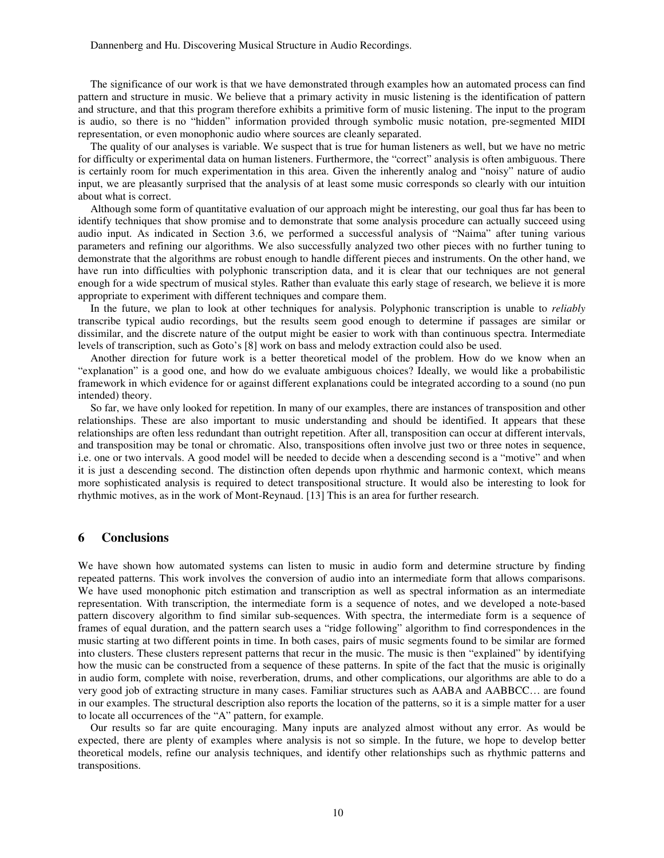The significance of our work is that we have demonstrated through examples how an automated process can find pattern and structure in music. We believe that a primary activity in music listening is the identification of pattern and structure, and that this program therefore exhibits a primitive form of music listening. The input to the program is audio, so there is no "hidden" information provided through symbolic music notation, pre-segmented MIDI representation, or even monophonic audio where sources are cleanly separated.

The quality of our analyses is variable. We suspect that is true for human listeners as well, but we have no metric for difficulty or experimental data on human listeners. Furthermore, the "correct" analysis is often ambiguous. There is certainly room for much experimentation in this area. Given the inherently analog and "noisy" nature of audio input, we are pleasantly surprised that the analysis of at least some music corresponds so clearly with our intuition about what is correct.

Although some form of quantitative evaluation of our approach might be interesting, our goal thus far has been to identify techniques that show promise and to demonstrate that some analysis procedure can actually succeed using audio input. As indicated in Section 3.6, we performed a successful analysis of "Naima" after tuning various parameters and refining our algorithms. We also successfully analyzed two other pieces with no further tuning to demonstrate that the algorithms are robust enough to handle different pieces and instruments. On the other hand, we have run into difficulties with polyphonic transcription data, and it is clear that our techniques are not general enough for a wide spectrum of musical styles. Rather than evaluate this early stage of research, we believe it is more appropriate to experiment with different techniques and compare them.

In the future, we plan to look at other techniques for analysis. Polyphonic transcription is unable to *reliably* transcribe typical audio recordings, but the results seem good enough to determine if passages are similar or dissimilar, and the discrete nature of the output might be easier to work with than continuous spectra. Intermediate levels of transcription, such as Goto's [8] work on bass and melody extraction could also be used.

Another direction for future work is a better theoretical model of the problem. How do we know when an "explanation" is a good one, and how do we evaluate ambiguous choices? Ideally, we would like a probabilistic framework in which evidence for or against different explanations could be integrated according to a sound (no pun intended) theory.

So far, we have only looked for repetition. In many of our examples, there are instances of transposition and other relationships. These are also important to music understanding and should be identified. It appears that these relationships are often less redundant than outright repetition. After all, transposition can occur at different intervals, and transposition may be tonal or chromatic. Also, transpositions often involve just two or three notes in sequence, i.e. one or two intervals. A good model will be needed to decide when a descending second is a "motive" and when it is just a descending second. The distinction often depends upon rhythmic and harmonic context, which means more sophisticated analysis is required to detect transpositional structure. It would also be interesting to look for rhythmic motives, as in the work of Mont-Reynaud. [13] This is an area for further research.

### **6 Conclusions**

We have shown how automated systems can listen to music in audio form and determine structure by finding repeated patterns. This work involves the conversion of audio into an intermediate form that allows comparisons. We have used monophonic pitch estimation and transcription as well as spectral information as an intermediate representation. With transcription, the intermediate form is a sequence of notes, and we developed a note-based pattern discovery algorithm to find similar sub-sequences. With spectra, the intermediate form is a sequence of frames of equal duration, and the pattern search uses a "ridge following" algorithm to find correspondences in the music starting at two different points in time. In both cases, pairs of music segments found to be similar are formed into clusters. These clusters represent patterns that recur in the music. The music is then "explained" by identifying how the music can be constructed from a sequence of these patterns. In spite of the fact that the music is originally in audio form, complete with noise, reverberation, drums, and other complications, our algorithms are able to do a very good job of extracting structure in many cases. Familiar structures such as AABA and AABBCC… are found in our examples. The structural description also reports the location of the patterns, so it is a simple matter for a user to locate all occurrences of the "A" pattern, for example.

Our results so far are quite encouraging. Many inputs are analyzed almost without any error. As would be expected, there are plenty of examples where analysis is not so simple. In the future, we hope to develop better theoretical models, refine our analysis techniques, and identify other relationships such as rhythmic patterns and transpositions.